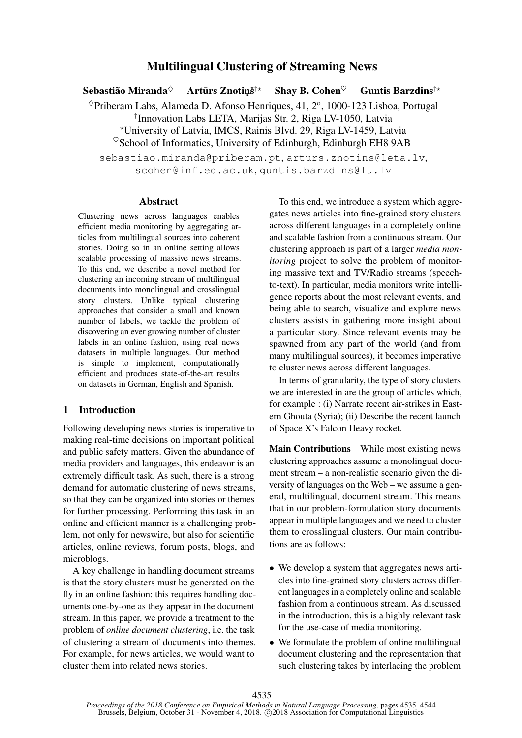# Multilingual Clustering of Streaming News

Sebastião Miranda $\diamond$ Artūrs Znotiņš<sup>†\*</sup> Shay B. Cohen $\heartsuit$  Guntis Barzdins<sup>†\*</sup>  $^{\diamond}$ Priberam Labs, Alameda D. Afonso Henriques, 41, 2°, 1000-123 Lisboa, Portugal † Innovation Labs LETA, Marijas Str. 2, Riga LV-1050, Latvia ?University of Latvia, IMCS, Rainis Blvd. 29, Riga LV-1459, Latvia  $\%$ School of Informatics, University of Edinburgh, Edinburgh EH8 9AB

sebastiao.miranda@priberam.pt, arturs.znotins@leta.lv, scohen@inf.ed.ac.uk, guntis.barzdins@lu.lv

## Abstract

Clustering news across languages enables efficient media monitoring by aggregating articles from multilingual sources into coherent stories. Doing so in an online setting allows scalable processing of massive news streams. To this end, we describe a novel method for clustering an incoming stream of multilingual documents into monolingual and crosslingual story clusters. Unlike typical clustering approaches that consider a small and known number of labels, we tackle the problem of discovering an ever growing number of cluster labels in an online fashion, using real news datasets in multiple languages. Our method is simple to implement, computationally efficient and produces state-of-the-art results on datasets in German, English and Spanish.

# 1 Introduction

Following developing news stories is imperative to making real-time decisions on important political and public safety matters. Given the abundance of media providers and languages, this endeavor is an extremely difficult task. As such, there is a strong demand for automatic clustering of news streams, so that they can be organized into stories or themes for further processing. Performing this task in an online and efficient manner is a challenging problem, not only for newswire, but also for scientific articles, online reviews, forum posts, blogs, and microblogs.

A key challenge in handling document streams is that the story clusters must be generated on the fly in an online fashion: this requires handling documents one-by-one as they appear in the document stream. In this paper, we provide a treatment to the problem of *online document clustering*, i.e. the task of clustering a stream of documents into themes. For example, for news articles, we would want to cluster them into related news stories.

To this end, we introduce a system which aggregates news articles into fine-grained story clusters across different languages in a completely online and scalable fashion from a continuous stream. Our clustering approach is part of a larger *media monitoring* project to solve the problem of monitoring massive text and TV/Radio streams (speechto-text). In particular, media monitors write intelligence reports about the most relevant events, and being able to search, visualize and explore news clusters assists in gathering more insight about a particular story. Since relevant events may be spawned from any part of the world (and from many multilingual sources), it becomes imperative to cluster news across different languages.

In terms of granularity, the type of story clusters we are interested in are the group of articles which, for example : (i) Narrate recent air-strikes in Eastern Ghouta (Syria); (ii) Describe the recent launch of Space X's Falcon Heavy rocket.

Main Contributions While most existing news clustering approaches assume a monolingual document stream – a non-realistic scenario given the diversity of languages on the Web – we assume a general, multilingual, document stream. This means that in our problem-formulation story documents appear in multiple languages and we need to cluster them to crosslingual clusters. Our main contributions are as follows:

- We develop a system that aggregates news articles into fine-grained story clusters across different languages in a completely online and scalable fashion from a continuous stream. As discussed in the introduction, this is a highly relevant task for the use-case of media monitoring.
- We formulate the problem of online multilingual document clustering and the representation that such clustering takes by interlacing the problem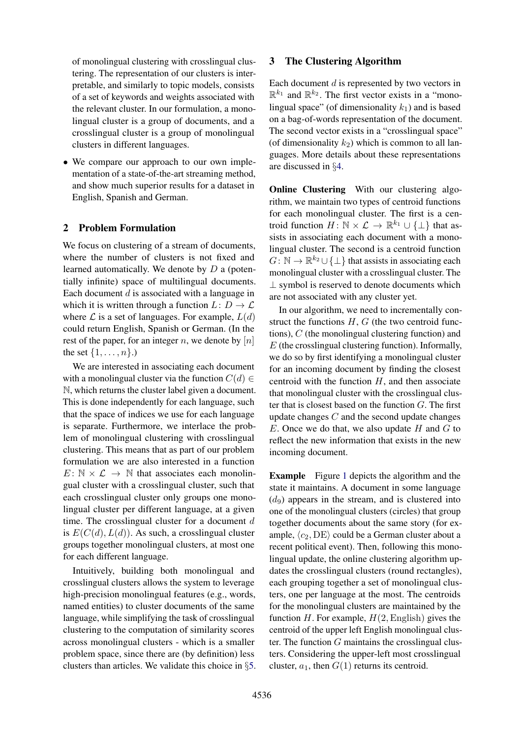of monolingual clustering with crosslingual clustering. The representation of our clusters is interpretable, and similarly to topic models, consists of a set of keywords and weights associated with the relevant cluster. In our formulation, a monolingual cluster is a group of documents, and a crosslingual cluster is a group of monolingual clusters in different languages.

• We compare our approach to our own implementation of a state-of-the-art streaming method, and show much superior results for a dataset in English, Spanish and German.

# 2 Problem Formulation

We focus on clustering of a stream of documents, where the number of clusters is not fixed and learned automatically. We denote by D a (potentially infinite) space of multilingual documents. Each document  $d$  is associated with a language in which it is written through a function  $L: D \to \mathcal{L}$ where  $\mathcal L$  is a set of languages. For example,  $L(d)$ could return English, Spanish or German. (In the rest of the paper, for an integer n, we denote by  $[n]$ the set  $\{1, \ldots, n\}$ .)

We are interested in associating each document with a monolingual cluster via the function  $C(d) \in$ N, which returns the cluster label given a document. This is done independently for each language, such that the space of indices we use for each language is separate. Furthermore, we interlace the problem of monolingual clustering with crosslingual clustering. This means that as part of our problem formulation we are also interested in a function  $E: \mathbb{N} \times \mathcal{L} \rightarrow \mathbb{N}$  that associates each monolingual cluster with a crosslingual cluster, such that each crosslingual cluster only groups one monolingual cluster per different language, at a given time. The crosslingual cluster for a document  $d$ is  $E(C(d), L(d))$ . As such, a crosslingual cluster groups together monolingual clusters, at most one for each different language.

Intuitively, building both monolingual and crosslingual clusters allows the system to leverage high-precision monolingual features (e.g., words, named entities) to cluster documents of the same language, while simplifying the task of crosslingual clustering to the computation of similarity scores across monolingual clusters - which is a smaller problem space, since there are (by definition) less clusters than articles. We validate this choice in §[5.](#page-4-0)

### <span id="page-1-0"></span>3 The Clustering Algorithm

Each document  $d$  is represented by two vectors in  $\mathbb{R}^{k_1}$  and  $\mathbb{R}^{k_2}$ . The first vector exists in a "monolingual space" (of dimensionality  $k_1$ ) and is based on a bag-of-words representation of the document. The second vector exists in a "crosslingual space" (of dimensionality  $k_2$ ) which is common to all languages. More details about these representations are discussed in §[4.](#page-3-0)

Online Clustering With our clustering algorithm, we maintain two types of centroid functions for each monolingual cluster. The first is a centroid function  $H: \mathbb{N} \times \mathcal{L} \to \mathbb{R}^{k_1} \cup \{\perp\}$  that assists in associating each document with a monolingual cluster. The second is a centroid function  $G: \mathbb{N} \to \mathbb{R}^{k_2} \cup \{\perp\}$  that assists in associating each monolingual cluster with a crosslingual cluster. The ⊥ symbol is reserved to denote documents which are not associated with any cluster yet.

In our algorithm, we need to incrementally construct the functions  $H$ ,  $G$  (the two centroid functions), C (the monolingual clustering function) and  $E$  (the crosslingual clustering function). Informally, we do so by first identifying a monolingual cluster for an incoming document by finding the closest centroid with the function  $H$ , and then associate that monolingual cluster with the crosslingual cluster that is closest based on the function  $G$ . The first update changes  $C$  and the second update changes  $E$ . Once we do that, we also update  $H$  and  $G$  to reflect the new information that exists in the new incoming document.

Example Figure [1](#page-2-0) depicts the algorithm and the state it maintains. A document in some language  $(d_9)$  appears in the stream, and is clustered into one of the monolingual clusters (circles) that group together documents about the same story (for example,  $\langle c_2, DE \rangle$  could be a German cluster about a recent political event). Then, following this monolingual update, the online clustering algorithm updates the crosslingual clusters (round rectangles), each grouping together a set of monolingual clusters, one per language at the most. The centroids for the monolingual clusters are maintained by the function H. For example,  $H(2,$  English) gives the centroid of the upper left English monolingual cluster. The function  $G$  maintains the crosslingual clusters. Considering the upper-left most crosslingual cluster,  $a_1$ , then  $G(1)$  returns its centroid.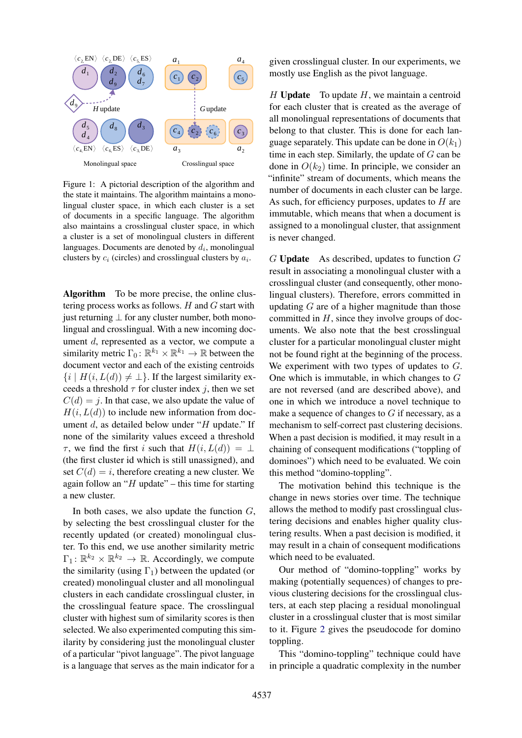

<span id="page-2-0"></span>Figure 1: A pictorial description of the algorithm and the state it maintains. The algorithm maintains a monolingual cluster space, in which each cluster is a set of documents in a specific language. The algorithm also maintains a crosslingual cluster space, in which a cluster is a set of monolingual clusters in different languages. Documents are denoted by  $d_i$ , monolingual clusters by  $c_i$  (circles) and crosslingual clusters by  $a_i$ .

Algorithm To be more precise, the online clustering process works as follows.  $H$  and  $G$  start with just returning  $\perp$  for any cluster number, both monolingual and crosslingual. With a new incoming document d, represented as a vector, we compute a similarity metric  $\Gamma_0: \mathbb{R}^{k_1} \times \mathbb{R}^{k_1} \to \mathbb{R}$  between the document vector and each of the existing centroids  $\{i \mid H(i, L(d)) \neq \perp\}$ . If the largest similarity exceeds a threshold  $\tau$  for cluster index j, then we set  $C(d) = i$ . In that case, we also update the value of  $H(i, L(d))$  to include new information from document  $d$ , as detailed below under "H update." If none of the similarity values exceed a threshold  $\tau$ , we find the first i such that  $H(i, L(d)) = \bot$ (the first cluster id which is still unassigned), and set  $C(d) = i$ , therefore creating a new cluster. We again follow an " $H$  update" – this time for starting a new cluster.

In both cases, we also update the function  $G$ , by selecting the best crosslingual cluster for the recently updated (or created) monolingual cluster. To this end, we use another similarity metric  $\Gamma_1: \mathbb{R}^{k_2} \times \mathbb{R}^{k_2} \to \mathbb{R}$ . Accordingly, we compute the similarity (using  $\Gamma_1$ ) between the updated (or created) monolingual cluster and all monolingual clusters in each candidate crosslingual cluster, in the crosslingual feature space. The crosslingual cluster with highest sum of similarity scores is then selected. We also experimented computing this similarity by considering just the monolingual cluster of a particular "pivot language". The pivot language is a language that serves as the main indicator for a given crosslingual cluster. In our experiments, we mostly use English as the pivot language.

 $H$  Update To update  $H$ , we maintain a centroid for each cluster that is created as the average of all monolingual representations of documents that belong to that cluster. This is done for each language separately. This update can be done in  $O(k_1)$ time in each step. Similarly, the update of  $G$  can be done in  $O(k_2)$  time. In principle, we consider an "infinite" stream of documents, which means the number of documents in each cluster can be large. As such, for efficiency purposes, updates to  $H$  are immutable, which means that when a document is assigned to a monolingual cluster, that assignment is never changed.

 $G$  Update As described, updates to function  $G$ result in associating a monolingual cluster with a crosslingual cluster (and consequently, other monolingual clusters). Therefore, errors committed in updating  $G$  are of a higher magnitude than those committed in  $H$ , since they involve groups of documents. We also note that the best crosslingual cluster for a particular monolingual cluster might not be found right at the beginning of the process. We experiment with two types of updates to G. One which is immutable, in which changes to  $G$ are not reversed (and are described above), and one in which we introduce a novel technique to make a sequence of changes to  $G$  if necessary, as a mechanism to self-correct past clustering decisions. When a past decision is modified, it may result in a chaining of consequent modifications ("toppling of dominoes") which need to be evaluated. We coin this method "domino-toppling".

The motivation behind this technique is the change in news stories over time. The technique allows the method to modify past crosslingual clustering decisions and enables higher quality clustering results. When a past decision is modified, it may result in a chain of consequent modifications which need to be evaluated.

Our method of "domino-toppling" works by making (potentially sequences) of changes to previous clustering decisions for the crosslingual clusters, at each step placing a residual monolingual cluster in a crosslingual cluster that is most similar to it. Figure [2](#page-3-1) gives the pseudocode for domino toppling.

This "domino-toppling" technique could have in principle a quadratic complexity in the number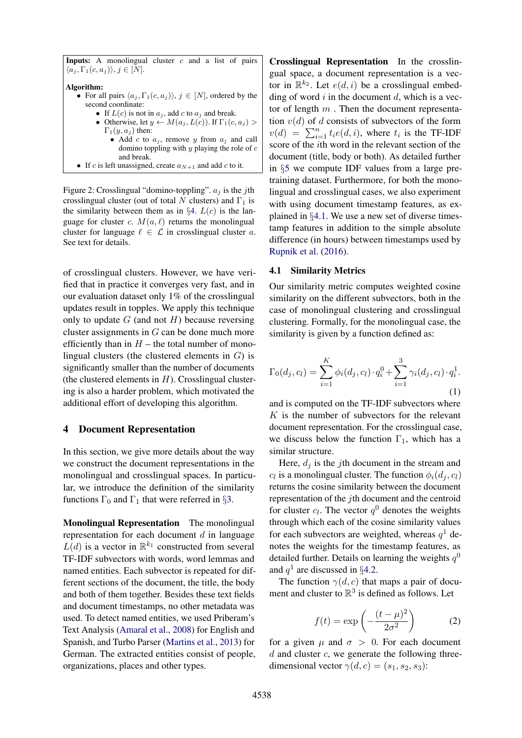**Inputs:** A monolingual cluster  $c$  and a list of pairs  $\langle a_j, \Gamma_1(c, a_j) \rangle, j \in [N].$ 

Algorithm:

- For all pairs  $\langle a_j, \Gamma_1(c, a_j) \rangle$ ,  $j \in [N]$ , ordered by the second coordinate:
	- If  $L(c)$  is not in  $a_i$ , add c to  $a_i$  and break.
	- Otherwise, let  $y \leftarrow M(a_i, L(c))$ . If  $\Gamma_1(c, a_i)$  $\Gamma_1(y, a_i)$  then:
		- Add c to  $a_i$ , remove y from  $a_i$  and call domino toppling with  $y$  playing the role of  $c$ and break.
- <span id="page-3-1"></span>• If c is left unassigned, create  $a_{N+1}$  and add c to it.

Figure 2: Crosslingual "domino-toppling".  $a_j$  is the jth crosslingual cluster (out of total N clusters) and  $\Gamma_1$  is the similarity between them as in  $\S 4$ .  $L(c)$  is the language for cluster c.  $M(a, \ell)$  returns the monolingual cluster for language  $\ell \in \mathcal{L}$  in crosslingual cluster a. See text for details.

of crosslingual clusters. However, we have verified that in practice it converges very fast, and in our evaluation dataset only 1% of the crosslingual updates result in topples. We apply this technique only to update  $G$  (and not  $H$ ) because reversing cluster assignments in G can be done much more efficiently than in  $H$  – the total number of monolingual clusters (the clustered elements in  $G$ ) is significantly smaller than the number of documents (the clustered elements in  $H$ ). Crosslingual clustering is also a harder problem, which motivated the additional effort of developing this algorithm.

### <span id="page-3-0"></span>4 Document Representation

In this section, we give more details about the way we construct the document representations in the monolingual and crosslingual spaces. In particular, we introduce the definition of the similarity functions  $\Gamma_0$  and  $\Gamma_1$  that were referred in §[3.](#page-1-0)

Monolingual Representation The monolingual representation for each document  $d$  in language  $L(d)$  is a vector in  $\mathbb{R}^{k_1}$  constructed from several TF-IDF subvectors with words, word lemmas and named entities. Each subvector is repeated for different sections of the document, the title, the body and both of them together. Besides these text fields and document timestamps, no other metadata was used. To detect named entities, we used Priberam's Text Analysis [\(Amaral et al.,](#page-8-0) [2008\)](#page-8-0) for English and Spanish, and Turbo Parser [\(Martins et al.,](#page-8-1) [2013\)](#page-8-1) for German. The extracted entities consist of people, organizations, places and other types.

Crosslingual Representation In the crosslingual space, a document representation is a vector in  $\mathbb{R}^{k_2}$ . Let  $e(d, i)$  be a crosslingual embedding of word  $i$  in the document  $d$ , which is a vector of length  $m$  . Then the document representation  $v(d)$  of d consists of subvectors of the form  $v(d) = \sum_{i=1}^{n} t_i e(d, i)$ , where  $t_i$  is the TF-IDF score of the ith word in the relevant section of the document (title, body or both). As detailed further in §[5](#page-4-0) we compute IDF values from a large pretraining dataset. Furthermore, for both the monolingual and crosslingual cases, we also experiment with using document timestamp features, as explained in §[4.1.](#page-3-2) We use a new set of diverse timestamp features in addition to the simple absolute difference (in hours) between timestamps used by [Rupnik et al.](#page-9-0) [\(2016\)](#page-9-0).

#### <span id="page-3-2"></span>4.1 Similarity Metrics

Our similarity metric computes weighted cosine similarity on the different subvectors, both in the case of monolingual clustering and crosslingual clustering. Formally, for the monolingual case, the similarity is given by a function defined as:

$$
\Gamma_0(d_j, c_l) = \sum_{i=1}^K \phi_i(d_j, c_l) \cdot q_i^0 + \sum_{i=1}^3 \gamma_i(d_j, c_l) \cdot q_i^1.
$$
\n(1)

and is computed on the TF-IDF subvectors where K is the number of subvectors for the relevant document representation. For the crosslingual case, we discuss below the function  $\Gamma_1$ , which has a similar structure.

Here,  $d_i$  is the j<sup>th</sup> document in the stream and  $c_l$  is a monolingual cluster. The function  $\phi_i(d_j, c_l)$ returns the cosine similarity between the document representation of the jth document and the centroid for cluster  $c_l$ . The vector  $q^0$  denotes the weights through which each of the cosine similarity values for each subvectors are weighted, whereas  $q<sup>1</sup>$  denotes the weights for the timestamp features, as detailed further. Details on learning the weights  $q^0$ and  $q^1$  are discussed in §[4.2.](#page-4-1)

The function  $\gamma(d, c)$  that maps a pair of document and cluster to  $\mathbb{R}^3$  is defined as follows. Let

$$
f(t) = \exp\left(-\frac{(t-\mu)^2}{2\sigma^2}\right) \tag{2}
$$

for a given  $\mu$  and  $\sigma > 0$ . For each document  $d$  and cluster  $c$ , we generate the following threedimensional vector  $\gamma(d, c) = (s_1, s_2, s_3)$ :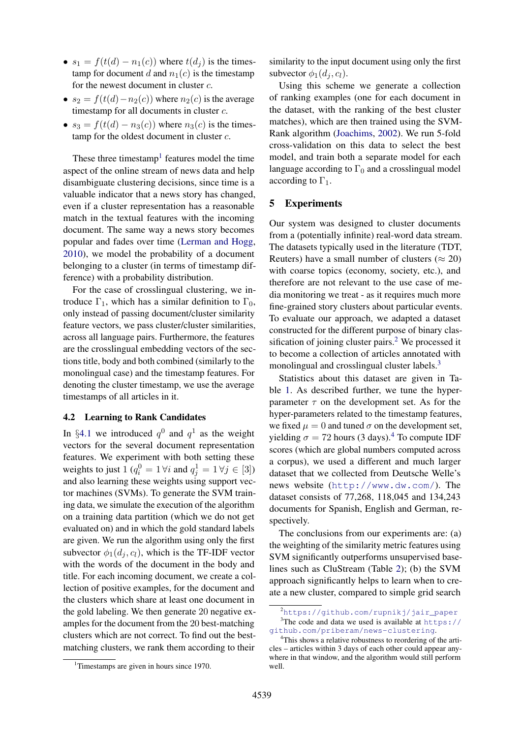- $s_1 = f(t(d) n_1(c))$  where  $t(d_i)$  is the timestamp for document d and  $n_1(c)$  is the timestamp for the newest document in cluster c.
- $s_2 = f(t(d) n_2(c))$  where  $n_2(c)$  is the average timestamp for all documents in cluster c.
- $s_3 = f(t(d) n_3(c))$  where  $n_3(c)$  is the timestamp for the oldest document in cluster c.

These three timestamp<sup>[1](#page-4-2)</sup> features model the time aspect of the online stream of news data and help disambiguate clustering decisions, since time is a valuable indicator that a news story has changed, even if a cluster representation has a reasonable match in the textual features with the incoming document. The same way a news story becomes popular and fades over time [\(Lerman and Hogg,](#page-8-2) [2010\)](#page-8-2), we model the probability of a document belonging to a cluster (in terms of timestamp difference) with a probability distribution.

For the case of crosslingual clustering, we introduce  $\Gamma_1$ , which has a similar definition to  $\Gamma_0$ , only instead of passing document/cluster similarity feature vectors, we pass cluster/cluster similarities, across all language pairs. Furthermore, the features are the crosslingual embedding vectors of the sections title, body and both combined (similarly to the monolingual case) and the timestamp features. For denoting the cluster timestamp, we use the average timestamps of all articles in it.

### <span id="page-4-1"></span>4.2 Learning to Rank Candidates

In §[4.1](#page-3-2) we introduced  $q^0$  and  $q^1$  as the weight vectors for the several document representation features. We experiment with both setting these weights to just  $1 (q_i^0 = 1 \forall i$  and  $q_j^1 = 1 \forall j \in [3]$ ) and also learning these weights using support vector machines (SVMs). To generate the SVM training data, we simulate the execution of the algorithm on a training data partition (which we do not get evaluated on) and in which the gold standard labels are given. We run the algorithm using only the first subvector  $\phi_1(d_i, c_l)$ , which is the TF-IDF vector with the words of the document in the body and title. For each incoming document, we create a collection of positive examples, for the document and the clusters which share at least one document in the gold labeling. We then generate 20 negative examples for the document from the 20 best-matching clusters which are not correct. To find out the bestmatching clusters, we rank them according to their

<span id="page-4-2"></span><sup>1</sup>Timestamps are given in hours since 1970.

similarity to the input document using only the first subvector  $\phi_1(d_i, c_l)$ .

Using this scheme we generate a collection of ranking examples (one for each document in the dataset, with the ranking of the best cluster matches), which are then trained using the SVM-Rank algorithm [\(Joachims,](#page-8-3) [2002\)](#page-8-3). We run 5-fold cross-validation on this data to select the best model, and train both a separate model for each language according to  $\Gamma_0$  and a crosslingual model according to  $\Gamma_1$ .

### <span id="page-4-0"></span>5 Experiments

Our system was designed to cluster documents from a (potentially infinite) real-word data stream. The datasets typically used in the literature (TDT, Reuters) have a small number of clusters ( $\approx$  20) with coarse topics (economy, society, etc.), and therefore are not relevant to the use case of media monitoring we treat - as it requires much more fine-grained story clusters about particular events. To evaluate our approach, we adapted a dataset constructed for the different purpose of binary clas-sification of joining cluster pairs.<sup>[2](#page-4-3)</sup> We processed it to become a collection of articles annotated with monolingual and crosslingual cluster labels.<sup>[3](#page-4-4)</sup>

Statistics about this dataset are given in Table [1.](#page-5-0) As described further, we tune the hyperparameter  $\tau$  on the development set. As for the hyper-parameters related to the timestamp features, we fixed  $\mu = 0$  and tuned  $\sigma$  on the development set, yielding  $\sigma = 72$  hours (3 days).<sup>[4](#page-4-5)</sup> To compute IDF scores (which are global numbers computed across a corpus), we used a different and much larger dataset that we collected from Deutsche Welle's news website (<http://www.dw.com/>). The dataset consists of 77,268, 118,045 and 134,243 documents for Spanish, English and German, respectively.

The conclusions from our experiments are: (a) the weighting of the similarity metric features using SVM significantly outperforms unsupervised baselines such as CluStream (Table [2\)](#page-5-1); (b) the SVM approach significantly helps to learn when to create a new cluster, compared to simple grid search

<span id="page-4-4"></span><span id="page-4-3"></span><sup>&</sup>lt;sup>2</sup>[https://github.com/rupnikj/jair\\_paper](https://github.com/rupnikj/jair_paper)  $3$ The code and data we used is available at [https://](https://github.com/priberam/news-clustering)

[github.com/priberam/news-clustering](https://github.com/priberam/news-clustering). <sup>4</sup>This shows a relative robustness to reordering of the arti-

<span id="page-4-5"></span>cles – articles within 3 days of each other could appear anywhere in that window, and the algorithm would still perform well.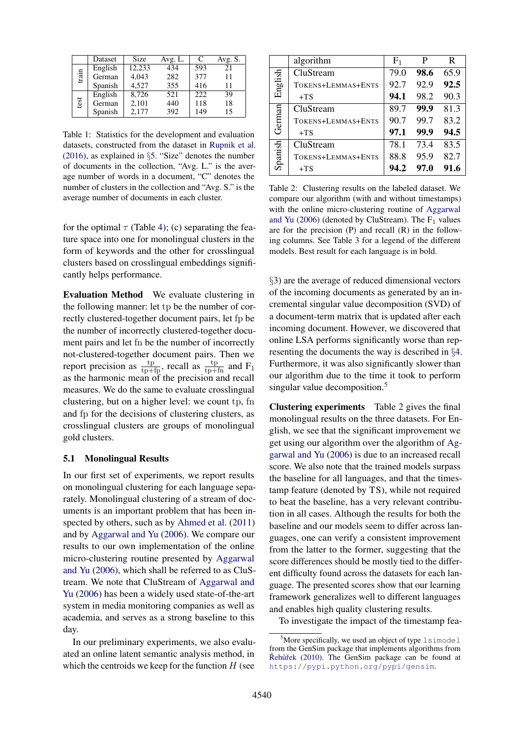|       | Dataset | Size   | Avg. L. | C   | Avg. S. |
|-------|---------|--------|---------|-----|---------|
| train | English | 12.233 | 434     | 593 | 21      |
|       | German  | 4.043  | 282     | 377 | 11      |
|       | Spanish | 4.527  | 355     | 416 | 11      |
|       | English | 8.726  | 521     | 222 | 39      |
| test  | German  | 2,101  | 440     | 118 | 18      |
|       | Spanish | 2,177  | 392     | 149 | 15      |

<span id="page-5-0"></span>Table 1: Statistics for the development and evaluation datasets, constructed from the dataset in [Rupnik et al.](#page-9-0) [\(2016\)](#page-9-0), as explained in §[5.](#page-4-0) "Size" denotes the number of documents in the collection, "Avg. L." is the average number of words in a document, "C" denotes the number of clusters in the collection and "Avg. S." is the average number of documents in each cluster.

for the optimal  $\tau$  (Table [4\)](#page-6-0); (c) separating the feature space into one for monolingual clusters in the form of keywords and the other for crosslingual clusters based on crosslingual embeddings significantly helps performance.

Evaluation Method We evaluate clustering in the following manner: let tp be the number of correctly clustered-together document pairs, let fp be the number of incorrectly clustered-together document pairs and let fn be the number of incorrectly not-clustered-together document pairs. Then we report precision as  $\frac{\text{tp}}{\text{tp+fp}}$ , recall as  $\frac{\text{tp}}{\text{tp+fn}}$  and F<sub>1</sub> as the harmonic mean of the precision and recall measures. We do the same to evaluate crosslingual clustering, but on a higher level: we count tp, fn and fp for the decisions of clustering clusters, as crosslingual clusters are groups of monolingual gold clusters.

### 5.1 Monolingual Results

In our first set of experiments, we report results on monolingual clustering for each language separately. Monolingual clustering of a stream of documents is an important problem that has been inspected by others, such as by [Ahmed et al.](#page-8-4) [\(2011\)](#page-8-4) and by [Aggarwal and Yu](#page-8-5) [\(2006\)](#page-8-5). We compare our results to our own implementation of the online micro-clustering routine presented by [Aggarwal](#page-8-5) [and Yu](#page-8-5) [\(2006\)](#page-8-5), which shall be referred to as CluStream. We note that CluStream of [Aggarwal and](#page-8-5) [Yu](#page-8-5) [\(2006\)](#page-8-5) has been a widely used state-of-the-art system in media monitoring companies as well as academia, and serves as a strong baseline to this day.

In our preliminary experiments, we also evaluated an online latent semantic analysis method, in which the centroids we keep for the function  $H$  (see

|         | algorithm          | F <sub>1</sub> | P    | R    |
|---------|--------------------|----------------|------|------|
| English | CluStream          | 79.0           | 98.6 | 65.9 |
|         | TOKENS+LEMMAS+ENTS | 92.7           | 92.9 | 92.5 |
|         | $+TS$              | 94.1           | 98.2 | 90.3 |
|         | CluStream          | 89.7           | 99.9 | 81.3 |
| German  | TOKENS+LEMMAS+ENTS | 90.7           | 99.7 | 83.2 |
|         | $+TS$              | 97.1           | 99.9 | 94.5 |
|         | CluStream          | 78.1           | 73.4 | 83.5 |
| Spanish | TOKENS+LEMMAS+ENTS | 88.8           | 95.9 | 82.7 |
|         | $+TS$              | 94.2           | 97.0 | 91.6 |

<span id="page-5-1"></span>Table 2: Clustering results on the labeled dataset. We compare our algorithm (with and without timestamps) with the online micro-clustering routine of [Aggarwal](#page-8-5) [and Yu](#page-8-5) [\(2006\)](#page-8-5) (denoted by CluStream). The  $F_1$  values are for the precision  $(P)$  and recall  $(R)$  in the following columns. See Table [3](#page-6-1) for a legend of the different models. Best result for each language is in bold.

§[3\)](#page-1-0) are the average of reduced dimensional vectors of the incoming documents as generated by an incremental singular value decomposition (SVD) of a document-term matrix that is updated after each incoming document. However, we discovered that online LSA performs significantly worse than representing the documents the way is described in §[4.](#page-3-0) Furthermore, it was also significantly slower than our algorithm due to the time it took to perform singular value decomposition.<sup>[5](#page-5-2)</sup>

Clustering experiments Table [2](#page-5-1) gives the final monolingual results on the three datasets. For English, we see that the significant improvement we get using our algorithm over the algorithm of [Ag](#page-8-5)[garwal and Yu](#page-8-5) [\(2006\)](#page-8-5) is due to an increased recall score. We also note that the trained models surpass the baseline for all languages, and that the timestamp feature (denoted by TS), while not required to beat the baseline, has a very relevant contribution in all cases. Although the results for both the baseline and our models seem to differ across languages, one can verify a consistent improvement from the latter to the former, suggesting that the score differences should be mostly tied to the different difficulty found across the datasets for each language. The presented scores show that our learning framework generalizes well to different languages and enables high quality clustering results.

To investigate the impact of the timestamp fea-

<span id="page-5-2"></span> $5$ More specifically, we used an object of type  $lsimode1$ from the GenSim package that implements algorithms from  $\check{R}$ ehůřek [\(2010\)](#page-9-1). The GenSim package can be found at <https://pypi.python.org/pypi/gensim>.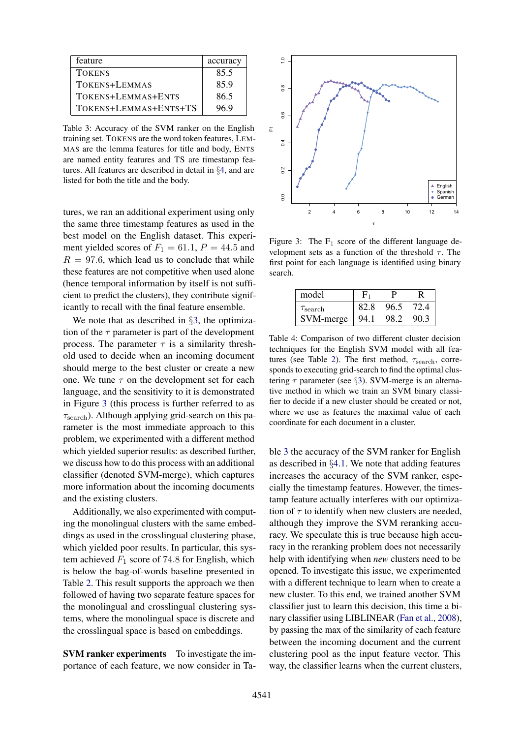| feature               | accuracy |
|-----------------------|----------|
| <b>TOKENS</b>         | 85.5     |
| TOKENS+LEMMAS         | 85.9     |
| TOKENS+LEMMAS+ENTS    | 86.5     |
| TOKENS+LEMMAS+ENTS+TS | 96 9     |

<span id="page-6-1"></span>Table 3: Accuracy of the SVM ranker on the English training set. TOKENS are the word token features, LEM-MAS are the lemma features for title and body, ENTS are named entity features and TS are timestamp features. All features are described in detail in §[4,](#page-3-0) and are listed for both the title and the body.

tures, we ran an additional experiment using only the same three timestamp features as used in the best model on the English dataset. This experiment yielded scores of  $F_1 = 61.1, P = 44.5$  and  $R = 97.6$ , which lead us to conclude that while these features are not competitive when used alone (hence temporal information by itself is not sufficient to predict the clusters), they contribute significantly to recall with the final feature ensemble.

We note that as described in §[3,](#page-1-0) the optimization of the  $\tau$  parameter is part of the development process. The parameter  $\tau$  is a similarity threshold used to decide when an incoming document should merge to the best cluster or create a new one. We tune  $\tau$  on the development set for each language, and the sensitivity to it is demonstrated in Figure [3](#page-6-2) (this process is further referred to as  $\tau_{\text{search}}$ ). Although applying grid-search on this parameter is the most immediate approach to this problem, we experimented with a different method which yielded superior results: as described further, we discuss how to do this process with an additional classifier (denoted SVM-merge), which captures more information about the incoming documents and the existing clusters.

Additionally, we also experimented with computing the monolingual clusters with the same embeddings as used in the crosslingual clustering phase, which yielded poor results. In particular, this system achieved  $F_1$  score of 74.8 for English, which is below the bag-of-words baseline presented in Table [2.](#page-5-1) This result supports the approach we then followed of having two separate feature spaces for the monolingual and crosslingual clustering systems, where the monolingual space is discrete and the crosslingual space is based on embeddings.

**SVM ranker experiments** To investigate the importance of each feature, we now consider in Ta-



<span id="page-6-2"></span>Figure 3: The  $F_1$  score of the different language development sets as a function of the threshold  $\tau$ . The first point for each language is identified using binary search.

| model               |      |      |      |
|---------------------|------|------|------|
| $\tau_{\rm search}$ | 82.8 | 96.5 | 72.4 |
| SVM-merge           | 94.1 | 98.2 | 90.3 |

<span id="page-6-0"></span>Table 4: Comparison of two different cluster decision techniques for the English SVM model with all fea-tures (see Table [2\)](#page-5-1). The first method,  $\tau_{\text{search}}$ , corresponds to executing grid-search to find the optimal clustering  $\tau$  parameter (see §[3\)](#page-1-0). SVM-merge is an alternative method in which we train an SVM binary classifier to decide if a new cluster should be created or not, where we use as features the maximal value of each coordinate for each document in a cluster.

ble [3](#page-6-1) the accuracy of the SVM ranker for English as described in §[4.1.](#page-3-2) We note that adding features increases the accuracy of the SVM ranker, especially the timestamp features. However, the timestamp feature actually interferes with our optimization of  $\tau$  to identify when new clusters are needed, although they improve the SVM reranking accuracy. We speculate this is true because high accuracy in the reranking problem does not necessarily help with identifying when *new* clusters need to be opened. To investigate this issue, we experimented with a different technique to learn when to create a new cluster. To this end, we trained another SVM classifier just to learn this decision, this time a binary classifier using LIBLINEAR [\(Fan et al.,](#page-8-6) [2008\)](#page-8-6), by passing the max of the similarity of each feature between the incoming document and the current clustering pool as the input feature vector. This way, the classifier learns when the current clusters,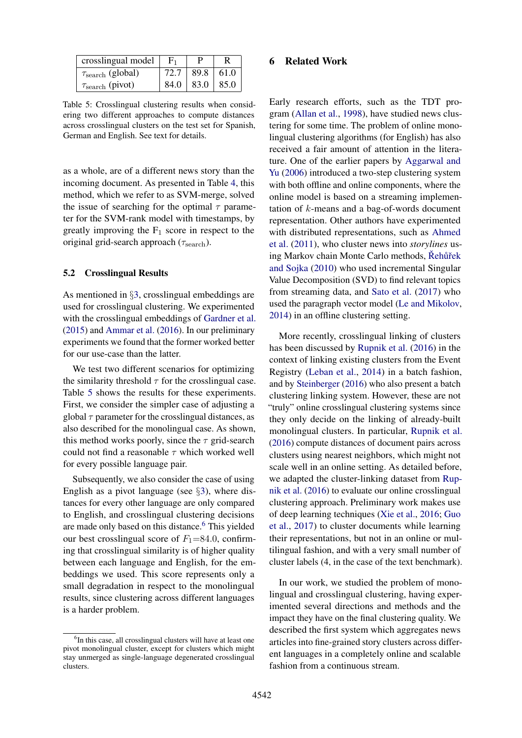| crosslingual model              |      |                      |  |
|---------------------------------|------|----------------------|--|
| $\tau_{\text{search}}$ (global) | 72.7 | 89.8 61.0            |  |
| $\tau_{\text{search}}$ (pivot)  |      | $84.0$   83.0   85.0 |  |

<span id="page-7-0"></span>Table 5: Crosslingual clustering results when considering two different approaches to compute distances across crosslingual clusters on the test set for Spanish, German and English. See text for details.

as a whole, are of a different news story than the incoming document. As presented in Table [4,](#page-6-0) this method, which we refer to as SVM-merge, solved the issue of searching for the optimal  $\tau$  parameter for the SVM-rank model with timestamps, by greatly improving the  $F_1$  score in respect to the original grid-search approach ( $\tau_{\text{search}}$ ).

#### 5.2 Crosslingual Results

As mentioned in §[3,](#page-1-0) crosslingual embeddings are used for crosslingual clustering. We experimented with the crosslingual embeddings of [Gardner et al.](#page-8-7) [\(2015\)](#page-8-7) and [Ammar et al.](#page-8-8) [\(2016\)](#page-8-8). In our preliminary experiments we found that the former worked better for our use-case than the latter.

We test two different scenarios for optimizing the similarity threshold  $\tau$  for the crosslingual case. Table [5](#page-7-0) shows the results for these experiments. First, we consider the simpler case of adjusting a global  $\tau$  parameter for the crosslingual distances, as also described for the monolingual case. As shown, this method works poorly, since the  $\tau$  grid-search could not find a reasonable  $\tau$  which worked well for every possible language pair.

Subsequently, we also consider the case of using English as a pivot language (see §[3\)](#page-1-0), where distances for every other language are only compared to English, and crosslingual clustering decisions are made only based on this distance.<sup>[6](#page-7-1)</sup> This yielded our best crosslingual score of  $F_1$ =84.0, confirming that crosslingual similarity is of higher quality between each language and English, for the embeddings we used. This score represents only a small degradation in respect to the monolingual results, since clustering across different languages is a harder problem.

#### 6 Related Work

Early research efforts, such as the TDT program [\(Allan et al.,](#page-8-9) [1998\)](#page-8-9), have studied news clustering for some time. The problem of online monolingual clustering algorithms (for English) has also received a fair amount of attention in the literature. One of the earlier papers by [Aggarwal and](#page-8-5) [Yu](#page-8-5) [\(2006\)](#page-8-5) introduced a two-step clustering system with both offline and online components, where the online model is based on a streaming implementation of  $k$ -means and a bag-of-words document representation. Other authors have experimented with distributed representations, such as [Ahmed](#page-8-4) [et al.](#page-8-4) [\(2011\)](#page-8-4), who cluster news into *storylines* using Markov chain Monte Carlo methods, Řehůřek [and Sojka](#page-9-2) [\(2010\)](#page-9-2) who used incremental Singular Value Decomposition (SVD) to find relevant topics from streaming data, and [Sato et al.](#page-9-3) [\(2017\)](#page-9-3) who used the paragraph vector model [\(Le and Mikolov,](#page-8-10) [2014\)](#page-8-10) in an offline clustering setting.

More recently, crosslingual linking of clusters has been discussed by [Rupnik et al.](#page-9-0) [\(2016\)](#page-9-0) in the context of linking existing clusters from the Event Registry [\(Leban et al.,](#page-8-11) [2014\)](#page-8-11) in a batch fashion, and by [Steinberger](#page-9-4) [\(2016\)](#page-9-4) who also present a batch clustering linking system. However, these are not "truly" online crosslingual clustering systems since they only decide on the linking of already-built monolingual clusters. In particular, [Rupnik et al.](#page-9-0) [\(2016\)](#page-9-0) compute distances of document pairs across clusters using nearest neighbors, which might not scale well in an online setting. As detailed before, we adapted the cluster-linking dataset from [Rup](#page-9-0)[nik et al.](#page-9-0) [\(2016\)](#page-9-0) to evaluate our online crosslingual clustering approach. Preliminary work makes use of deep learning techniques [\(Xie et al.,](#page-9-5) [2016;](#page-9-5) [Guo](#page-8-12) [et al.,](#page-8-12) [2017\)](#page-8-12) to cluster documents while learning their representations, but not in an online or multilingual fashion, and with a very small number of cluster labels (4, in the case of the text benchmark).

In our work, we studied the problem of monolingual and crosslingual clustering, having experimented several directions and methods and the impact they have on the final clustering quality. We described the first system which aggregates news articles into fine-grained story clusters across different languages in a completely online and scalable fashion from a continuous stream.

<span id="page-7-1"></span><sup>&</sup>lt;sup>6</sup>In this case, all crosslingual clusters will have at least one pivot monolingual cluster, except for clusters which might stay unmerged as single-language degenerated crosslingual clusters.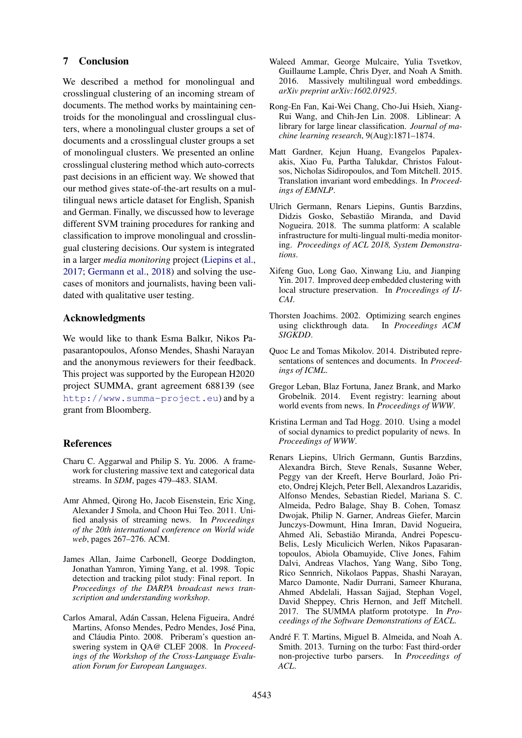## 7 Conclusion

We described a method for monolingual and crosslingual clustering of an incoming stream of documents. The method works by maintaining centroids for the monolingual and crosslingual clusters, where a monolingual cluster groups a set of documents and a crosslingual cluster groups a set of monolingual clusters. We presented an online crosslingual clustering method which auto-corrects past decisions in an efficient way. We showed that our method gives state-of-the-art results on a multilingual news article dataset for English, Spanish and German. Finally, we discussed how to leverage different SVM training procedures for ranking and classification to improve monolingual and crosslingual clustering decisions. Our system is integrated in a larger *media monitoring* project [\(Liepins et al.,](#page-8-13) [2017;](#page-8-13) [Germann et al.,](#page-8-14) [2018\)](#page-8-14) and solving the usecases of monitors and journalists, having been validated with qualitative user testing.

### Acknowledgments

We would like to thank Esma Balkır, Nikos Papasarantopoulos, Afonso Mendes, Shashi Narayan and the anonymous reviewers for their feedback. This project was supported by the European H2020 project SUMMA, grant agreement 688139 (see <http://www.summa-project.eu>) and by a grant from Bloomberg.

### **References**

- <span id="page-8-5"></span>Charu C. Aggarwal and Philip S. Yu. 2006. A framework for clustering massive text and categorical data streams. In *SDM*, pages 479–483. SIAM.
- <span id="page-8-4"></span>Amr Ahmed, Qirong Ho, Jacob Eisenstein, Eric Xing, Alexander J Smola, and Choon Hui Teo. 2011. Unified analysis of streaming news. In *Proceedings of the 20th international conference on World wide web*, pages 267–276. ACM.
- <span id="page-8-9"></span>James Allan, Jaime Carbonell, George Doddington, Jonathan Yamron, Yiming Yang, et al. 1998. Topic detection and tracking pilot study: Final report. In *Proceedings of the DARPA broadcast news transcription and understanding workshop*.
- <span id="page-8-0"></span>Carlos Amaral, Adán Cassan, Helena Figueira, André Martins, Afonso Mendes, Pedro Mendes, Jose Pina, ´ and Cláudia Pinto. 2008. Priberam's question answering system in QA@ CLEF 2008. In *Proceedings of the Workshop of the Cross-Language Evaluation Forum for European Languages*.
- <span id="page-8-8"></span>Waleed Ammar, George Mulcaire, Yulia Tsvetkov, Guillaume Lample, Chris Dyer, and Noah A Smith. 2016. Massively multilingual word embeddings. *arXiv preprint arXiv:1602.01925*.
- <span id="page-8-6"></span>Rong-En Fan, Kai-Wei Chang, Cho-Jui Hsieh, Xiang-Rui Wang, and Chih-Jen Lin. 2008. Liblinear: A library for large linear classification. *Journal of machine learning research*, 9(Aug):1871–1874.
- <span id="page-8-7"></span>Matt Gardner, Kejun Huang, Evangelos Papalexakis, Xiao Fu, Partha Talukdar, Christos Faloutsos, Nicholas Sidiropoulos, and Tom Mitchell. 2015. Translation invariant word embeddings. In *Proceedings of EMNLP*.
- <span id="page-8-14"></span>Ulrich Germann, Renars Liepins, Guntis Barzdins, Didzis Gosko, Sebastião Miranda, and David Nogueira. 2018. The summa platform: A scalable infrastructure for multi-lingual multi-media monitoring. *Proceedings of ACL 2018, System Demonstrations*.
- <span id="page-8-12"></span>Xifeng Guo, Long Gao, Xinwang Liu, and Jianping Yin. 2017. Improved deep embedded clustering with local structure preservation. In *Proceedings of IJ-CAI*.
- <span id="page-8-3"></span>Thorsten Joachims. 2002. Optimizing search engines using clickthrough data. In *Proceedings ACM SIGKDD*.
- <span id="page-8-10"></span>Quoc Le and Tomas Mikolov. 2014. Distributed representations of sentences and documents. In *Proceedings of ICML*.
- <span id="page-8-11"></span>Gregor Leban, Blaz Fortuna, Janez Brank, and Marko Grobelnik. 2014. Event registry: learning about world events from news. In *Proceedings of WWW*.
- <span id="page-8-2"></span>Kristina Lerman and Tad Hogg. 2010. Using a model of social dynamics to predict popularity of news. In *Proceedings of WWW*.
- <span id="page-8-13"></span>Renars Liepins, Ulrich Germann, Guntis Barzdins, Alexandra Birch, Steve Renals, Susanne Weber, Peggy van der Kreeft, Herve Bourlard, João Prieto, Ondrej Klejch, Peter Bell, Alexandros Lazaridis, Alfonso Mendes, Sebastian Riedel, Mariana S. C. Almeida, Pedro Balage, Shay B. Cohen, Tomasz Dwojak, Philip N. Garner, Andreas Giefer, Marcin Junczys-Dowmunt, Hina Imran, David Nogueira, Ahmed Ali, Sebastião Miranda, Andrei Popescu-Belis, Lesly Miculicich Werlen, Nikos Papasarantopoulos, Abiola Obamuyide, Clive Jones, Fahim Dalvi, Andreas Vlachos, Yang Wang, Sibo Tong, Rico Sennrich, Nikolaos Pappas, Shashi Narayan, Marco Damonte, Nadir Durrani, Sameer Khurana, Ahmed Abdelali, Hassan Sajjad, Stephan Vogel, David Sheppey, Chris Hernon, and Jeff Mitchell. 2017. The SUMMA platform prototype. In *Proceedings of the Software Demonstrations of EACL*.
- <span id="page-8-1"></span>André F. T. Martins, Miguel B. Almeida, and Noah A. Smith. 2013. Turning on the turbo: Fast third-order non-projective turbo parsers. In *Proceedings of ACL*.